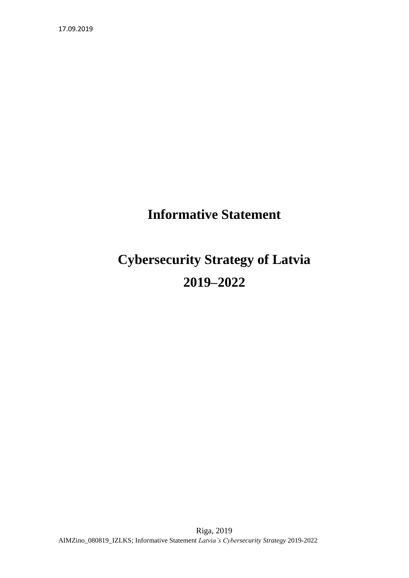## **Informative Statement**

# **Cybersecurity Strategy of Latvia 2019–2022**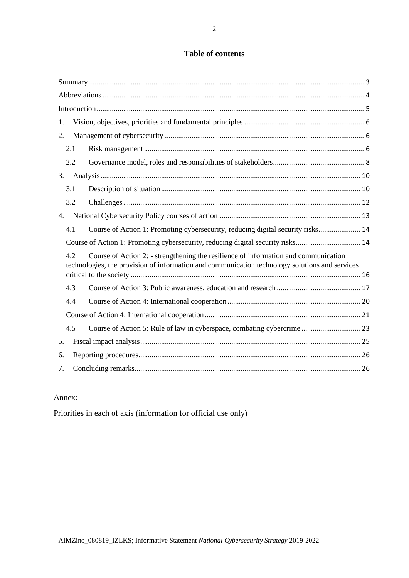## **Table of contents**

| 1.                                                                                                                                                                                           |  |
|----------------------------------------------------------------------------------------------------------------------------------------------------------------------------------------------|--|
| 2.                                                                                                                                                                                           |  |
| 2.1                                                                                                                                                                                          |  |
| 2.2                                                                                                                                                                                          |  |
| 3.                                                                                                                                                                                           |  |
| 3.1                                                                                                                                                                                          |  |
| 3.2                                                                                                                                                                                          |  |
| 4.                                                                                                                                                                                           |  |
| Course of Action 1: Promoting cybersecurity, reducing digital security risks 14<br>4.1                                                                                                       |  |
| Course of Action 1: Promoting cybersecurity, reducing digital security risks 14                                                                                                              |  |
| Course of Action 2: - strengthening the resilience of information and communication<br>4.2<br>technologies, the provision of information and communication technology solutions and services |  |
|                                                                                                                                                                                              |  |
| 4.3                                                                                                                                                                                          |  |
| 4.4                                                                                                                                                                                          |  |
|                                                                                                                                                                                              |  |
| 4.5                                                                                                                                                                                          |  |
| 5.                                                                                                                                                                                           |  |
| 6.                                                                                                                                                                                           |  |
| 7.                                                                                                                                                                                           |  |

## Annex:

Priorities in each of axis (information for official use only)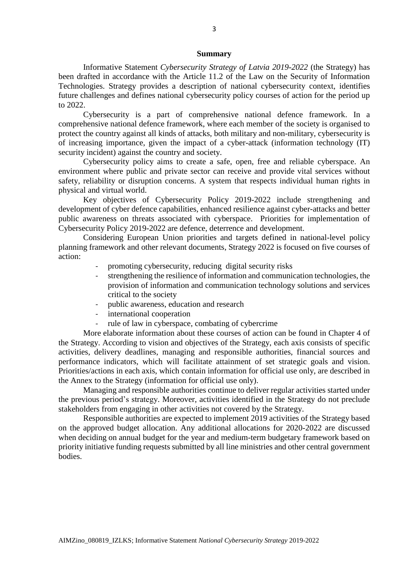#### **Summary**

<span id="page-2-0"></span>Informative Statement *Cybersecurity Strategy of Latvia 2019-2022* (the Strategy) has been drafted in accordance with the Article 11.2 of the Law on the Security of Information Technologies. Strategy provides a description of national cybersecurity context, identifies future challenges and defines national cybersecurity policy courses of action for the period up to 2022.

Cybersecurity is a part of comprehensive national defence framework. In a comprehensive national defence framework, where each member of the society is organised to protect the country against all kinds of attacks, both military and non-military, cybersecurity is of increasing importance, given the impact of a cyber-attack (information technology (IT) security incident) against the country and society.

Cybersecurity policy aims to create a safe, open, free and reliable cyberspace. An environment where public and private sector can receive and provide vital services without safety, reliability or disruption concerns. A system that respects individual human rights in physical and virtual world.

Key objectives of Cybersecurity Policy 2019-2022 include strengthening and development of cyber defence capabilities, enhanced resilience against cyber-attacks and better public awareness on threats associated with cyberspace. Priorities for implementation of Cybersecurity Policy 2019-2022 are defence, deterrence and development.

Considering European Union priorities and targets defined in national-level policy planning framework and other relevant documents, Strategy 2022 is focused on five courses of action:

- promoting cybersecurity, reducing digital security risks
- strengthening the resilience of information and communication technologies, the provision of information and communication technology solutions and services critical to the society
- public awareness, education and research
- international cooperation
- rule of law in cyberspace, combating of cybercrime

More elaborate information about these courses of action can be found in Chapter 4 of the Strategy. According to vision and objectives of the Strategy, each axis consists of specific activities, delivery deadlines, managing and responsible authorities, financial sources and performance indicators, which will facilitate attainment of set strategic goals and vision. Priorities/actions in each axis, which contain information for official use only, are described in the Annex to the Strategy (information for official use only).

Managing and responsible authorities continue to deliver regular activities started under the previous period's strategy. Moreover, activities identified in the Strategy do not preclude stakeholders from engaging in other activities not covered by the Strategy.

Responsible authorities are expected to implement 2019 activities of the Strategy based on the approved budget allocation. Any additional allocations for 2020-2022 are discussed when deciding on annual budget for the year and medium-term budgetary framework based on priority initiative funding requests submitted by all line ministries and other central government bodies.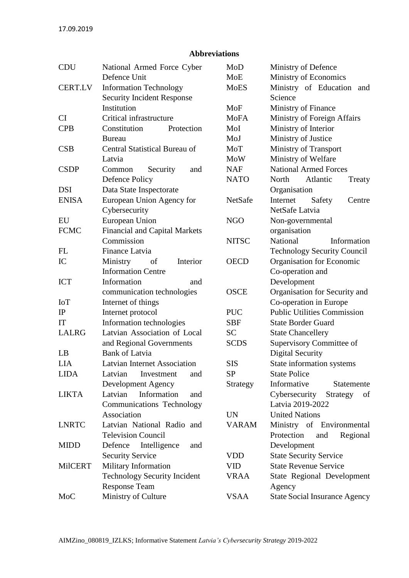## **Abbreviations**

<span id="page-3-0"></span>

| <b>CDU</b>     | National Armed Force Cyber           | MoD          | Ministry of Defence                  |
|----------------|--------------------------------------|--------------|--------------------------------------|
|                | Defence Unit                         | MoE          | Ministry of Economics                |
| <b>CERT.LV</b> | <b>Information Technology</b>        | <b>MoES</b>  | Ministry of Education<br>and         |
|                | <b>Security Incident Response</b>    |              | Science                              |
|                | Institution                          | MoF          | Ministry of Finance                  |
| CI             | Critical infrastructure              | <b>MoFA</b>  | Ministry of Foreign Affairs          |
| <b>CPB</b>     | Constitution<br>Protection           | MoI          | Ministry of Interior                 |
|                | Bureau                               | MoJ          | Ministry of Justice                  |
| CSB            | Central Statistical Bureau of        | MoT          | <b>Ministry of Transport</b>         |
|                | Latvia                               | MoW          | Ministry of Welfare                  |
| <b>CSDP</b>    | Common<br>Security<br>and            | <b>NAF</b>   | <b>National Armed Forces</b>         |
|                | <b>Defence Policy</b>                | <b>NATO</b>  | North<br>Atlantic<br>Treaty          |
| <b>DSI</b>     | Data State Inspectorate              |              | Organisation                         |
| <b>ENISA</b>   | European Union Agency for            | NetSafe      | Internet<br>Safety<br>Centre         |
|                | Cybersecurity                        |              | NetSafe Latvia                       |
| EU             | European Union                       | <b>NGO</b>   | Non-governmental                     |
| <b>FCMC</b>    | <b>Financial and Capital Markets</b> |              | organisation                         |
|                | Commission                           | <b>NITSC</b> | National<br>Information              |
| FL             | Finance Latvia                       |              | <b>Technology Security Council</b>   |
| IC             | Ministry<br>Interior<br>of           | <b>OECD</b>  | Organisation for Economic            |
|                | <b>Information Centre</b>            |              | Co-operation and                     |
| <b>ICT</b>     | Information<br>and                   |              | Development                          |
|                | communication technologies           | <b>OSCE</b>  | Organisation for Security and        |
| <b>IoT</b>     | Internet of things                   |              | Co-operation in Europe               |
| IP             | Internet protocol                    | <b>PUC</b>   | <b>Public Utilities Commission</b>   |
| IT             | Information technologies             | <b>SBF</b>   | <b>State Border Guard</b>            |
| <b>LALRG</b>   | Latvian Association of Local         | <b>SC</b>    | <b>State Chancellery</b>             |
|                | and Regional Governments             | <b>SCDS</b>  | Supervisory Committee of             |
| LB             | <b>Bank of Latvia</b>                |              | <b>Digital Security</b>              |
| <b>LIA</b>     | <b>Latvian Internet Association</b>  | <b>SIS</b>   | State information systems            |
| <b>LIDA</b>    | Latvian<br>Investment<br>and         | <b>SP</b>    | <b>State Police</b>                  |
|                | Development Agency                   | Strategy     | Informative<br>Statemente            |
| <b>LIKTA</b>   | Latvian<br>Information<br>and        |              | Cybersecurity<br>Strategy<br>of      |
|                | Communications Technology            |              | Latvia 2019-2022                     |
|                | Association                          | <b>UN</b>    | <b>United Nations</b>                |
| <b>LNRTC</b>   | Latvian National Radio and           | <b>VARAM</b> | Ministry of Environmental            |
|                | <b>Television Council</b>            |              | Protection<br>Regional<br>and        |
| <b>MIDD</b>    | Intelligence<br>Defence<br>and       |              | Development                          |
|                | <b>Security Service</b>              | <b>VDD</b>   | <b>State Security Service</b>        |
| <b>MilCERT</b> | Military Information                 | <b>VID</b>   | <b>State Revenue Service</b>         |
|                | <b>Technology Security Incident</b>  | <b>VRAA</b>  | State Regional Development           |
|                | <b>Response Team</b>                 |              | Agency                               |
| MoC            | Ministry of Culture                  | VSAA         | <b>State Social Insurance Agency</b> |
|                |                                      |              |                                      |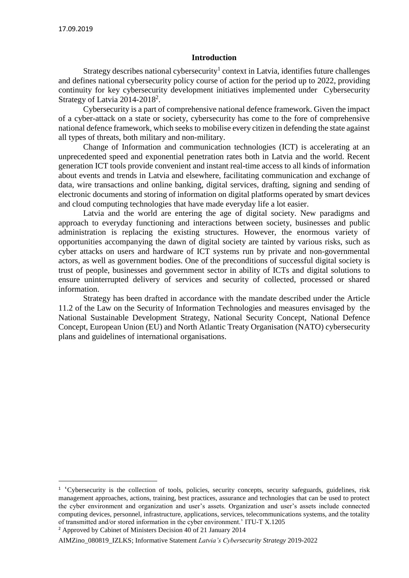#### **Introduction**

<span id="page-4-0"></span>Strategy describes national cybersecurity<sup>1</sup> context in Latvia, identifies future challenges and defines national cybersecurity policy course of action for the period up to 2022, providing continuity for key cybersecurity development initiatives implemented under Cybersecurity Strategy of Latvia 2014-2018<sup>2</sup>.

Cybersecurity is a part of comprehensive national defence framework. Given the impact of a cyber-attack on a state or society, cybersecurity has come to the fore of comprehensive national defence framework, which seeks to mobilise every citizen in defending the state against all types of threats, both military and non-military.

Change of Information and communication technologies (ICT) is accelerating at an unprecedented speed and exponential penetration rates both in Latvia and the world. Recent generation ICT tools provide convenient and instant real-time access to all kinds of information about events and trends in Latvia and elsewhere, facilitating communication and exchange of data, wire transactions and online banking, digital services, drafting, signing and sending of electronic documents and storing of information on digital platforms operated by smart devices and cloud computing technologies that have made everyday life a lot easier.

Latvia and the world are entering the age of digital society. New paradigms and approach to everyday functioning and interactions between society, businesses and public administration is replacing the existing structures. However, the enormous variety of opportunities accompanying the dawn of digital society are tainted by various risks, such as cyber attacks on users and hardware of ICT systems run by private and non-governmental actors, as well as government bodies. One of the preconditions of successful digital society is trust of people, businesses and government sector in ability of ICTs and digital solutions to ensure uninterrupted delivery of services and security of collected, processed or shared information.

Strategy has been drafted in accordance with the mandate described under the Article 11.2 of the Law on the Security of Information Technologies and measures envisaged by the National Sustainable Development Strategy, National Security Concept, National Defence Concept, European Union (EU) and North Atlantic Treaty Organisation (NATO) cybersecurity plans and guidelines of international organisations.

<sup>&</sup>lt;sup>1</sup> 'Cybersecurity is the collection of tools, policies, security concepts, security safeguards, guidelines, risk management approaches, actions, training, best practices, assurance and technologies that can be used to protect the cyber environment and organization and user's assets. Organization and user's assets include connected computing devices, personnel, infrastructure, applications, services, telecommunications systems, and the totality of transmitted and/or stored information in the cyber environment.' ITU-T X.1205

<sup>2</sup> Approved by Cabinet of Ministers Decision 40 of 21 January 2014

AIMZino\_080819\_IZLKS; Informative Statement *Latvia's Cybersecurity Strategy* 2019-2022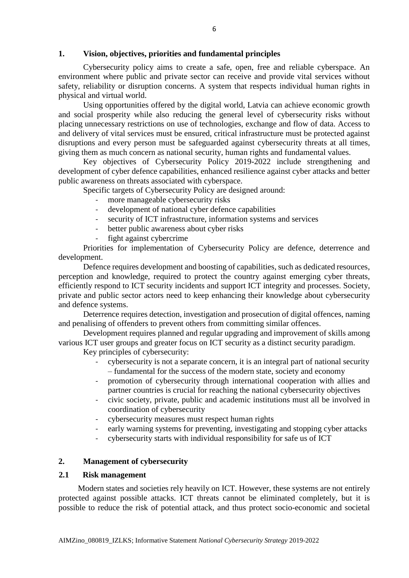## <span id="page-5-0"></span>**1. Vision, objectives, priorities and fundamental principles**

Cybersecurity policy aims to create a safe, open, free and reliable cyberspace. An environment where public and private sector can receive and provide vital services without safety, reliability or disruption concerns. A system that respects individual human rights in physical and virtual world.

Using opportunities offered by the digital world, Latvia can achieve economic growth and social prosperity while also reducing the general level of cybersecurity risks without placing unnecessary restrictions on use of technologies, exchange and flow of data. Access to and delivery of vital services must be ensured, critical infrastructure must be protected against disruptions and every person must be safeguarded against cybersecurity threats at all times, giving them as much concern as national security, human rights and fundamental values.

Key objectives of Cybersecurity Policy 2019-2022 include strengthening and development of cyber defence capabilities, enhanced resilience against cyber attacks and better public awareness on threats associated with cyberspace.

Specific targets of Cybersecurity Policy are designed around:

- more manageable cybersecurity risks
- development of national cyber defence capabilities
- security of ICT infrastructure, information systems and services
- better public awareness about cyber risks
- fight against cybercrime

Priorities for implementation of Cybersecurity Policy are defence, deterrence and development.

Defence requires development and boosting of capabilities, such as dedicated resources, perception and knowledge, required to protect the country against emerging cyber threats, efficiently respond to ICT security incidents and support ICT integrity and processes. Society, private and public sector actors need to keep enhancing their knowledge about cybersecurity and defence systems.

Deterrence requires detection, investigation and prosecution of digital offences, naming and penalising of offenders to prevent others from committing similar offences.

Development requires planned and regular upgrading and improvement of skills among various ICT user groups and greater focus on ICT security as a distinct security paradigm.

Key principles of cybersecurity:

- cybersecurity is not a separate concern, it is an integral part of national security – fundamental for the success of the modern state, society and economy
- promotion of cybersecurity through international cooperation with allies and partner countries is crucial for reaching the national cybersecurity objectives
- civic society, private, public and academic institutions must all be involved in coordination of cybersecurity
- cybersecurity measures must respect human rights
- early warning systems for preventing, investigating and stopping cyber attacks
- cybersecurity starts with individual responsibility for safe us of ICT

#### <span id="page-5-1"></span>**2. Management of cybersecurity**

#### <span id="page-5-2"></span>**2.1 Risk management**

Modern states and societies rely heavily on ICT. However, these systems are not entirely protected against possible attacks. ICT threats cannot be eliminated completely, but it is possible to reduce the risk of potential attack, and thus protect socio-economic and societal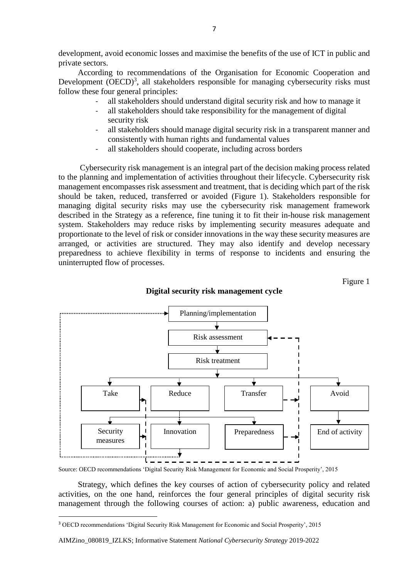development, avoid economic losses and maximise the benefits of the use of ICT in public and private sectors.

According to recommendations of the Organisation for Economic Cooperation and Development (OECD)<sup>3</sup>, all stakeholders responsible for managing cybersecurity risks must follow these four general principles:

- all stakeholders should understand digital security risk and how to manage it
- all stakeholders should take responsibility for the management of digital security risk
- all stakeholders should manage digital security risk in a transparent manner and consistently with human rights and fundamental values
- all stakeholders should cooperate, including across borders

Cybersecurity risk management is an integral part of the decision making process related to the planning and implementation of activities throughout their lifecycle. Cybersecurity risk management encompasses risk assessment and treatment, that is deciding which part of the risk should be taken, reduced, transferred or avoided (Figure 1). Stakeholders responsible for managing digital security risks may use the cybersecurity risk management framework described in the Strategy as a reference, fine tuning it to fit their in-house risk management system. Stakeholders may reduce risks by implementing security measures adequate and proportionate to the level of risk or consider innovations in the way these security measures are arranged, or activities are structured. They may also identify and develop necessary preparedness to achieve flexibility in terms of response to incidents and ensuring the uninterrupted flow of processes.

Planning/implementation darbību plānošana / darbība plānošana / darbība plānošana / darbība plānošana / darbība plānošana / darbība pl Risk assessment Risk treatment Take | Reduce | Transfer | Havoid  $\blacksquare$  $\mathbf{I}$ Security  $\begin{array}{c|c|c|c|c} \hline \end{array}$  Innovation Preparedness  $\begin{array}{c|c|c} \hline \end{array}$  End of activity measures $\blacksquare$ …………………<del>∳</del> ï

#### **Digital security risk management cycle**

Figure 1

Source: OECD recommendations 'Digital Security Risk Management for Economic and Social Prosperity', 2015

Strategy, which defines the key courses of action of cybersecurity policy and related activities, on the one hand, reinforces the four general principles of digital security risk management through the following courses of action: a) public awareness, education and

1

<sup>3</sup> OECD recommendations 'Digital Security Risk Management for Economic and Social Prosperity', 2015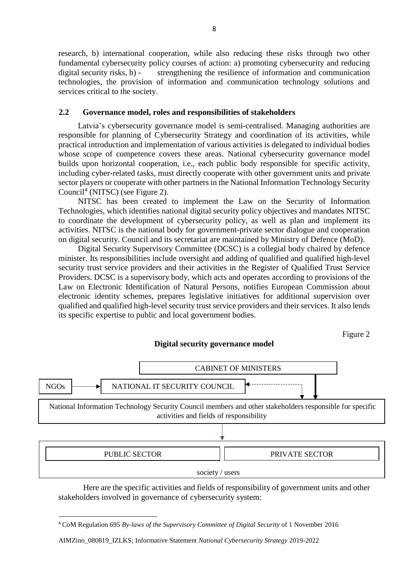research, b) international cooperation, while also reducing these risks through two other fundamental cybersecurity policy courses of action: a) promoting cybersecurity and reducing digital security risks, b) - strengthening the resilience of information and communication technologies, the provision of information and communication technology solutions and services critical to the society.

## <span id="page-7-0"></span>**2.2 Governance model, roles and responsibilities of stakeholders**

Latvia's cybersecurity governance model is semi-centralised. Managing authorities are responsible for planning of Cybersecurity Strategy and coordination of its activities, while practical introduction and implementation of various activities is delegated to individual bodies whose scope of competence covers these areas. National cybersecurity governance model builds upon horizontal cooperation, i.e., each public body responsible for specific activity, including cyber-related tasks, must directly cooperate with other government units and private sector players or cooperate with other partners in the National Information Technology Security Council<sup>4</sup> (NITSC) (see Figure 2).

NITSC has been created to implement the Law on the Security of Information Technologies, which identifies national digital security policy objectives and mandates NITSC to coordinate the development of cybersecurity policy, as well as plan and implement its activities. NITSC is the national body for government-private sector dialogue and cooperation on digital security. Council and its secretariat are maintained by Ministry of Defence (MoD).

Digital Security Supervisory Committee (DCSC) is a collegial body chaired by defence minister. Its responsibilities include oversight and adding of qualified and qualified high-level security trust service providers and their activities in the Register of Qualified Trust Service Providers. DCSC is a supervisory body, which acts and operates according to provisions of the Law on Electronic Identification of Natural Persons, notifies European Commission about electronic identity schemes, prepares legislative initiatives for additional supervision over qualified and qualified high-level security trust service providers and their services. It also lends its specific expertise to public and local government bodies.

Figure 2

## **Digital security governance model**



Here are the specific activities and fields of responsibility of government units and other stakeholders involved in governance of cybersecurity system:

1

<sup>4</sup> CoM Regulation 695 *By-laws of the Supervisory Committee of Digital Security* of 1 November 2016

AIMZino\_080819\_IZLKS; Informative Statement *National Cybersecurity Strategy* 2019-2022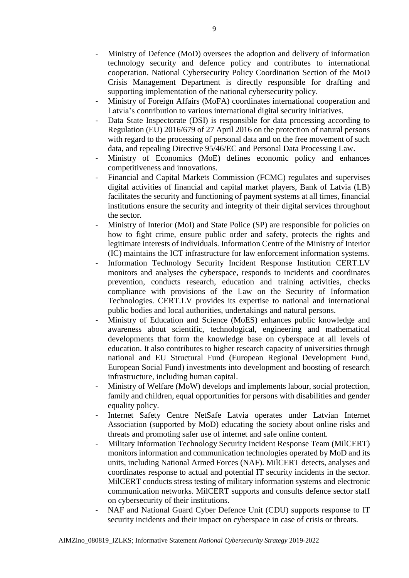- Ministry of Defence (MoD) oversees the adoption and delivery of information technology security and defence policy and contributes to international cooperation. National Cybersecurity Policy Coordination Section of the MoD Crisis Management Department is directly responsible for drafting and supporting implementation of the national cybersecurity policy.
- Ministry of Foreign Affairs (MoFA) coordinates international cooperation and Latvia's contribution to various international digital security initiatives.
- Data State Inspectorate (DSI) is responsible for data processing according to Regulation (EU) 2016/679 of 27 April 2016 on the protection of natural persons with regard to the processing of personal data and on the free movement of such data, and repealing Directive 95/46/EC and Personal Data Processing Law.
- Ministry of Economics (MoE) defines economic policy and enhances competitiveness and innovations.
- Financial and Capital Markets Commission (FCMC) regulates and supervises digital activities of financial and capital market players, Bank of Latvia (LB) facilitates the security and functioning of payment systems at all times, financial institutions ensure the security and integrity of their digital services throughout the sector.
- Ministry of Interior (MoI) and State Police (SP) are responsible for policies on how to fight crime, ensure public order and safety, protects the rights and legitimate interests of individuals. Information Centre of the Ministry of Interior (IC) maintains the ICT infrastructure for law enforcement information systems.
- Information Technology Security Incident Response Institution CERT.LV monitors and analyses the cyberspace, responds to incidents and coordinates prevention, conducts research, education and training activities, checks compliance with provisions of the Law on the Security of Information Technologies. CERT.LV provides its expertise to national and international public bodies and local authorities, undertakings and natural persons.
- Ministry of Education and Science (MoES) enhances public knowledge and awareness about scientific, technological, engineering and mathematical developments that form the knowledge base on cyberspace at all levels of education. It also contributes to higher research capacity of universities through national and EU Structural Fund (European Regional Development Fund, European Social Fund) investments into development and boosting of research infrastructure, including human capital.
- Ministry of Welfare (MoW) develops and implements labour, social protection, family and children, equal opportunities for persons with disabilities and gender equality policy.
- Internet Safety Centre NetSafe Latvia operates under Latvian Internet Association (supported by MoD) educating the society about online risks and threats and promoting safer use of internet and safe online content.
- Military Information Technology Security Incident Response Team (MilCERT) monitors information and communication technologies operated by MoD and its units, including National Armed Forces (NAF). MilCERT detects, analyses and coordinates response to actual and potential IT security incidents in the sector. MilCERT conducts stress testing of military information systems and electronic communication networks. MilCERT supports and consults defence sector staff on cybersecurity of their institutions.
- NAF and National Guard Cyber Defence Unit (CDU) supports response to IT security incidents and their impact on cyberspace in case of crisis or threats.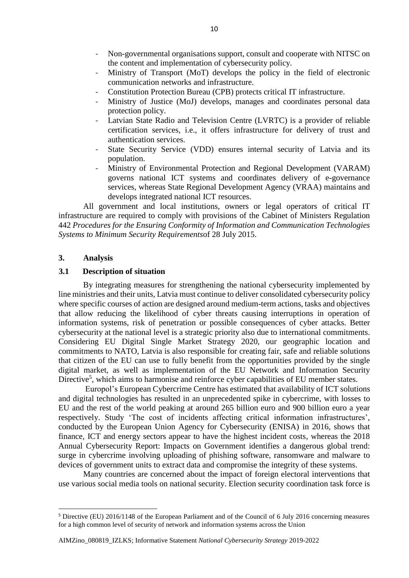- Non-governmental organisations support, consult and cooperate with NITSC on the content and implementation of cybersecurity policy.
- Ministry of Transport (MoT) develops the policy in the field of electronic communication networks and infrastructure.
- Constitution Protection Bureau (CPB) protects critical IT infrastructure.
- Ministry of Justice (MoJ) develops, manages and coordinates personal data protection policy.
- Latvian State Radio and Television Centre (LVRTC) is a provider of reliable certification services, i.e., it offers infrastructure for delivery of trust and authentication services.
- State Security Service (VDD) ensures internal security of Latvia and its population.
- Ministry of Environmental Protection and Regional Development (VARAM) governs national ICT systems and coordinates delivery of e-governance services, whereas State Regional Development Agency (VRAA) maintains and develops integrated national ICT resources.

All government and local institutions, owners or legal operators of critical IT infrastructure are required to comply with provisions of the Cabinet of Ministers Regulation 442 *Procedures for the Ensuring Conformity of Information and Communication Technologies Systems to Minimum Security Requirements*of 28 July 2015.

#### <span id="page-9-0"></span>**3. Analysis**

**.** 

#### <span id="page-9-1"></span>**3.1 Description of situation**

By integrating measures for strengthening the national cybersecurity implemented by line ministries and their units, Latvia must continue to deliver consolidated cybersecurity policy where specific courses of action are designed around medium-term actions, tasks and objectives that allow reducing the likelihood of cyber threats causing interruptions in operation of information systems, risk of penetration or possible consequences of cyber attacks. Better cybersecurity at the national level is a strategic priority also due to international commitments. Considering EU Digital Single Market Strategy 2020, our geographic location and commitments to NATO, Latvia is also responsible for creating fair, safe and reliable solutions that citizen of the EU can use to fully benefit from the opportunities provided by the single digital market, as well as implementation of the EU Network and Information Security Directive<sup>5</sup>, which aims to harmonise and reinforce cyber capabilities of EU member states.

Europol's European Cybercrime Centre has estimated that availability of ICT solutions and digital technologies has resulted in an unprecedented spike in cybercrime, with losses to EU and the rest of the world peaking at around 265 billion euro and 900 billion euro a year respectively. Study 'The cost of incidents affecting critical information infrastructures', conducted by the European Union Agency for Cybersecurity (ENISA) in 2016, shows that finance, ICT and energy sectors appear to have the highest incident costs, whereas the 2018 Annual Cybersecurity Report: Impacts on Government identifies a dangerous global trend: surge in cybercrime involving uploading of phishing software, ransomware and malware to devices of government units to extract data and compromise the integrity of these systems.

Many countries are concerned about the impact of foreign electoral interventions that use various social media tools on national security. Election security coordination task force is

<sup>5</sup> Directive (EU) 2016/1148 of the European Parliament and of the Council of 6 July 2016 concerning measures for a high common level of security of network and information systems across the Union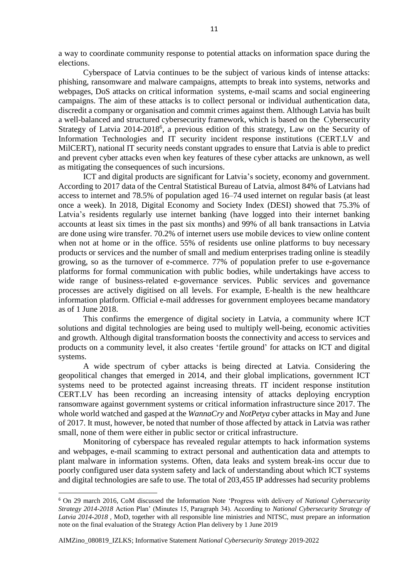a way to coordinate community response to potential attacks on information space during the elections.

Cyberspace of Latvia continues to be the subject of various kinds of intense attacks: phishing, ransomware and malware campaigns, attempts to break into systems, networks and webpages, DoS attacks on critical information systems, e-mail scams and social engineering campaigns. The aim of these attacks is to collect personal or individual authentication data, discredit a company or organisation and commit crimes against them. Although Latvia has built a well-balanced and structured cybersecurity framework, which is based on the Cybersecurity Strategy of Latvia 2014-2018<sup>6</sup>, a previous edition of this strategy, Law on the Security of Information Technologies and IT security incident response institutions (CERT.LV and MilCERT), national IT security needs constant upgrades to ensure that Latvia is able to predict and prevent cyber attacks even when key features of these cyber attacks are unknown, as well as mitigating the consequences of such incursions.

ICT and digital products are significant for Latvia's society, economy and government. According to 2017 data of the Central Statistical Bureau of Latvia, almost 84% of Latvians had access to internet and 78.5% of population aged 16–74 used internet on regular basis (at least once a week). In 2018, Digital Economy and Society Index (DESI) showed that 75.3% of Latvia's residents regularly use internet banking (have logged into their internet banking accounts at least six times in the past six months) and 99% of all bank transactions in Latvia are done using wire transfer. 70.2% of internet users use mobile devices to view online content when not at home or in the office. 55% of residents use online platforms to buy necessary products or services and the number of small and medium enterprises trading online is steadily growing, so as the turnover of e-commerce. 77% of population prefer to use e-governance platforms for formal communication with public bodies, while undertakings have access to wide range of business-related e-governance services. Public services and governance processes are actively digitised on all levels. For example, E-health is the new healthcare information platform. Official e-mail addresses for government employees became mandatory as of 1 June 2018.

This confirms the emergence of digital society in Latvia, a community where ICT solutions and digital technologies are being used to multiply well-being, economic activities and growth. Although digital transformation boosts the connectivity and access to services and products on a community level, it also creates 'fertile ground' for attacks on ICT and digital systems.

A wide spectrum of cyber attacks is being directed at Latvia. Considering the geopolitical changes that emerged in 2014, and their global implications, government ICT systems need to be protected against increasing threats. IT incident response institution CERT.LV has been recording an increasing intensity of attacks deploying encryption ransomware against government systems or critical information infrastructure since 2017. The whole world watched and gasped at the *WannaCry* and *NotPetya* cyber attacks in May and June of 2017. It must, however, be noted that number of those affected by attack in Latvia was rather small, none of them were either in public sector or critical infrastructure.

Monitoring of cyberspace has revealed regular attempts to hack information systems and webpages, e-mail scamming to extract personal and authentication data and attempts to plant malware in information systems. Often, data leaks and system break-ins occur due to poorly configured user data system safety and lack of understanding about which ICT systems and digital technologies are safe to use. The total of 203,455 IP addresses had security problems

 $\overline{a}$ 

<sup>6</sup> On 29 march 2016, CoM discussed the Information Note 'Progress with delivery of *National Cybersecurity Strategy 2014-2018* Action Plan' (Minutes 15, Paragraph 34). According to *National Cybersecurity Strategy of Latvia 2014-2018 ,* MoD, together with all responsible line ministries and NITSC, must prepare an information note on the final evaluation of the Strategy Action Plan delivery by 1 June 2019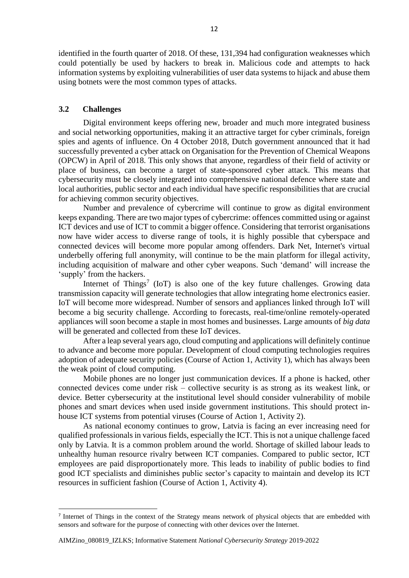identified in the fourth quarter of 2018. Of these, 131,394 had configuration weaknesses which could potentially be used by hackers to break in. Malicious code and attempts to hack information systems by exploiting vulnerabilities of user data systems to hijack and abuse them using botnets were the most common types of attacks.

## <span id="page-11-0"></span>**3.2 Challenges**

**.** 

Digital environment keeps offering new, broader and much more integrated business and social networking opportunities, making it an attractive target for cyber criminals, foreign spies and agents of influence. On 4 October 2018, Dutch government announced that it had successfully prevented a cyber attack on Organisation for the Prevention of Chemical Weapons (OPCW) in April of 2018. This only shows that anyone, regardless of their field of activity or place of business, can become a target of state-sponsored cyber attack. This means that cybersecurity must be closely integrated into comprehensive national defence where state and local authorities, public sector and each individual have specific responsibilities that are crucial for achieving common security objectives.

Number and prevalence of cybercrime will continue to grow as digital environment keeps expanding. There are two major types of cybercrime: offences committed using or against ICT devices and use of ICT to commit a bigger offence. Considering that terrorist organisations now have wider access to diverse range of tools, it is highly possible that cyberspace and connected devices will become more popular among offenders. Dark Net, Internet's virtual underbelly offering full anonymity, will continue to be the main platform for illegal activity, including acquisition of malware and other cyber weapons. Such 'demand' will increase the 'supply' from the hackers.

Internet of Things<sup>7</sup> (IoT) is also one of the key future challenges. Growing data transmission capacity will generate technologies that allow integrating home electronics easier. IoT will become more widespread. Number of sensors and appliances linked through IoT will become a big security challenge. According to forecasts, real-time/online remotely-operated appliances will soon become a staple in most homes and businesses. Large amounts of *big data* will be generated and collected from these IoT devices.

After a leap several years ago, cloud computing and applications will definitely continue to advance and become more popular. Development of cloud computing technologies requires adoption of adequate security policies (Course of Action 1, Activity 1), which has always been the weak point of cloud computing.

Mobile phones are no longer just communication devices. If a phone is hacked, other connected devices come under risk – collective security is as strong as its weakest link, or device. Better cybersecurity at the institutional level should consider vulnerability of mobile phones and smart devices when used inside government institutions. This should protect inhouse ICT systems from potential viruses (Course of Action 1, Activity 2).

As national economy continues to grow, Latvia is facing an ever increasing need for qualified professionals in various fields, especially the ICT. This is not a unique challenge faced only by Latvia. It is a common problem around the world. Shortage of skilled labour leads to unhealthy human resource rivalry between ICT companies. Compared to public sector, ICT employees are paid disproportionately more. This leads to inability of public bodies to find good ICT specialists and diminishes public sector's capacity to maintain and develop its ICT resources in sufficient fashion (Course of Action 1, Activity 4).

<sup>&</sup>lt;sup>7</sup> Internet of Things in the context of the Strategy means network of physical objects that are embedded with sensors and software for the purpose of connecting with other devices over the Internet.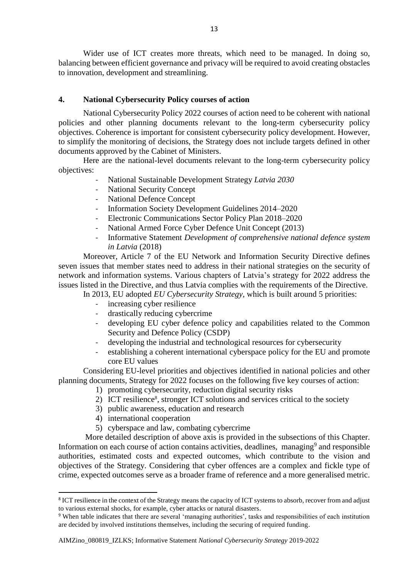Wider use of ICT creates more threats, which need to be managed. In doing so, balancing between efficient governance and privacy will be required to avoid creating obstacles to innovation, development and streamlining.

## <span id="page-12-0"></span>**4. National Cybersecurity Policy courses of action**

National Cybersecurity Policy 2022 courses of action need to be coherent with national policies and other planning documents relevant to the long-term cybersecurity policy objectives. Coherence is important for consistent cybersecurity policy development. However, to simplify the monitoring of decisions, the Strategy does not include targets defined in other documents approved by the Cabinet of Ministers.

Here are the national-level documents relevant to the long-term cybersecurity policy objectives:

- National Sustainable Development Strategy *Latvia 2030*
- National Security Concept
- National Defence Concept
- Information Society Development Guidelines 2014–2020
- Electronic Communications Sector Policy Plan 2018–2020
- National Armed Force Cyber Defence Unit Concept (2013)
- Informative Statement *Development of comprehensive national defence system in Latvia* (2018)

Moreover, Article 7 of the EU Network and Information Security Directive defines seven issues that member states need to address in their national strategies on the security of network and information systems. Various chapters of Latvia's strategy for 2022 address the issues listed in the Directive, and thus Latvia complies with the requirements of the Directive.

In 2013, EU adopted *EU Cybersecurity Strategy*, which is built around 5 priorities:

- increasing cyber resilience
- drastically reducing cybercrime
- developing EU cyber defence policy and capabilities related to the Common Security and Defence Policy (CSDP)
- developing the industrial and technological resources for cybersecurity
- establishing a coherent international cyberspace policy for the EU and promote core EU values

Considering EU-level priorities and objectives identified in national policies and other planning documents, Strategy for 2022 focuses on the following five key courses of action:

- 1) promoting cybersecurity, reduction digital security risks
- 2) ICT resilience<sup>8</sup>, stronger ICT solutions and services critical to the society
- 3) public awareness, education and research
- 4) international cooperation

**.** 

5) cyberspace and law, combating cybercrime

More detailed description of above axis is provided in the subsections of this Chapter. Information on each course of action contains activities, deadlines, managing<sup>9</sup> and responsible authorities, estimated costs and expected outcomes, which contribute to the vision and objectives of the Strategy. Considering that cyber offences are a complex and fickle type of crime, expected outcomes serve as a broader frame of reference and a more generalised metric.

<sup>&</sup>lt;sup>8</sup> ICT resilience in the context of the Strategy means the capacity of ICT systems to absorb, recover from and adjust to various external shocks, for example, cyber attacks or natural disasters.

<sup>9</sup> When table indicates that there are several 'managing authorities', tasks and responsibilities of each institution are decided by involved institutions themselves, including the securing of required funding.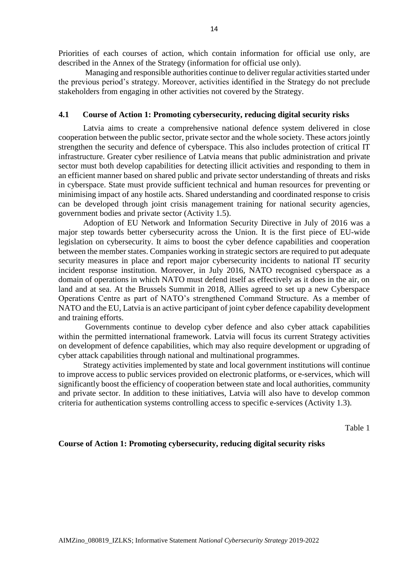Priorities of each courses of action, which contain information for official use only, are described in the Annex of the Strategy (information for official use only).

Managing and responsible authorities continue to deliver regular activities started under the previous period's strategy. Moreover, activities identified in the Strategy do not preclude stakeholders from engaging in other activities not covered by the Strategy.

#### <span id="page-13-0"></span>**4.1 Course of Action 1: Promoting cybersecurity, reducing digital security risks**

Latvia aims to create a comprehensive national defence system delivered in close cooperation between the public sector, private sector and the whole society. These actors jointly strengthen the security and defence of cyberspace. This also includes protection of critical IT infrastructure. Greater cyber resilience of Latvia means that public administration and private sector must both develop capabilities for detecting illicit activities and responding to them in an efficient manner based on shared public and private sector understanding of threats and risks in cyberspace. State must provide sufficient technical and human resources for preventing or minimising impact of any hostile acts. Shared understanding and coordinated response to crisis can be developed through joint crisis management training for national security agencies, government bodies and private sector (Activity 1.5).

Adoption of EU Network and Information Security Directive in July of 2016 was a major step towards better cybersecurity across the Union. It is the first piece of EU-wide legislation on cybersecurity. It aims to boost the cyber defence capabilities and cooperation between the member states. Companies working in strategic sectors are required to put adequate security measures in place and report major cybersecurity incidents to national IT security incident response institution. Moreover, in July 2016, NATO recognised cyberspace as a domain of operations in which NATO must defend itself as effectively as it does in the air, on land and at sea. At the Brussels Summit in 2018, Allies agreed to set up a new Cyberspace Operations Centre as part of NATO's strengthened Command Structure. As a member of NATO and the EU, Latvia is an active participant of joint cyber defence capability development and training efforts.

Governments continue to develop cyber defence and also cyber attack capabilities within the permitted international framework. Latvia will focus its current Strategy activities on development of defence capabilities, which may also require development or upgrading of cyber attack capabilities through national and multinational programmes.

Strategy activities implemented by state and local government institutions will continue to improve access to public services provided on electronic platforms, or e-services, which will significantly boost the efficiency of cooperation between state and local authorities, community and private sector. In addition to these initiatives, Latvia will also have to develop common criteria for authentication systems controlling access to specific e-services (Activity 1.3).

Table 1

#### <span id="page-13-1"></span>**Course of Action 1: Promoting cybersecurity, reducing digital security risks**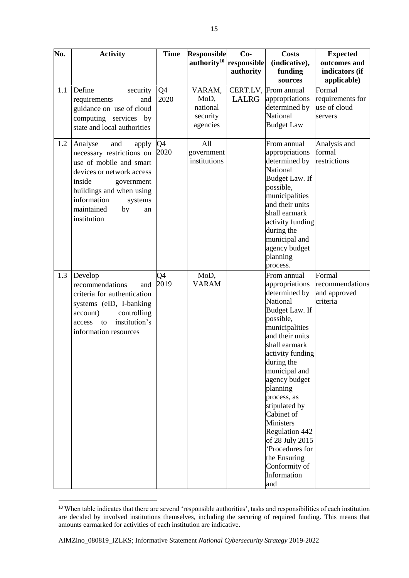| No. | <b>Activity</b>                                                                                                                                                                                                                     | <b>Time</b>            | <b>Responsible</b>                                 | $Co-$                    | <b>Costs</b>                                                                                                                                                                                                                                                                                                                                                                                                            | <b>Expected</b>                                       |
|-----|-------------------------------------------------------------------------------------------------------------------------------------------------------------------------------------------------------------------------------------|------------------------|----------------------------------------------------|--------------------------|-------------------------------------------------------------------------------------------------------------------------------------------------------------------------------------------------------------------------------------------------------------------------------------------------------------------------------------------------------------------------------------------------------------------------|-------------------------------------------------------|
|     |                                                                                                                                                                                                                                     |                        | authority <sup>10</sup>                            | responsible<br>authority | (indicative),<br>funding<br>sources                                                                                                                                                                                                                                                                                                                                                                                     | outcomes and<br>indicators (if<br>applicable)         |
| 1.1 | Define<br>security<br>requirements<br>and<br>guidance on use of cloud<br>computing services by<br>state and local authorities                                                                                                       | Q4<br>2020             | VARAM,<br>MoD,<br>national<br>security<br>agencies | LALRG                    | CERT.LV, From annual<br>appropriations<br>determined by<br><b>National</b><br><b>Budget Law</b>                                                                                                                                                                                                                                                                                                                         | Formal<br>requirements for<br>use of cloud<br>servers |
| 1.2 | Analyse<br>and<br>apply<br>necessary restrictions on<br>use of mobile and smart<br>devices or network access<br>inside<br>government<br>buildings and when using<br>information<br>systems<br>maintained<br>by<br>an<br>institution | Q4<br>2020             | All<br>government<br>institutions                  |                          | From annual<br>appropriations<br>determined by<br>National<br>Budget Law. If<br>possible,<br>municipalities<br>and their units<br>shall earmark<br>activity funding<br>during the<br>municipal and<br>agency budget<br>planning<br>process.                                                                                                                                                                             | Analysis and<br>formal<br>restrictions                |
| 1.3 | Develop<br>recommendations<br>and<br>criteria for authentication<br>systems (eID, I-banking<br>account)<br>controlling<br>institution's<br>access<br>to<br>information resources                                                    | Q <sub>4</sub><br>2019 | MoD,<br><b>VARAM</b>                               |                          | From annual<br>appropriations<br>determined by<br>National<br>Budget Law. If<br>possible,<br>municipalities<br>and their units<br>shall earmark<br>activity funding<br>during the<br>municipal and<br>agency budget<br>planning<br>process, as<br>stipulated by<br>Cabinet of<br><b>Ministers</b><br><b>Regulation 442</b><br>of 28 July 2015<br>'Procedures for<br>the Ensuring<br>Conformity of<br>Information<br>and | Formal<br>recommendations<br>and approved<br>criteria |

**<sup>.</sup>** <sup>10</sup> When table indicates that there are several 'responsible authorities', tasks and responsibilities of each institution are decided by involved institutions themselves, including the securing of required funding. This means that amounts earmarked for activities of each institution are indicative.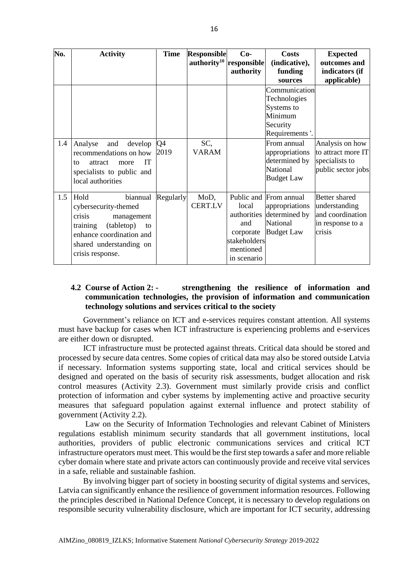| No. | <b>Activity</b>                                                                                                                                                             | <b>Time</b> | <b>Responsible</b>     | $Co-$                                                                                | <b>Costs</b>                                                                               | <b>Expected</b>                                                                  |
|-----|-----------------------------------------------------------------------------------------------------------------------------------------------------------------------------|-------------|------------------------|--------------------------------------------------------------------------------------|--------------------------------------------------------------------------------------------|----------------------------------------------------------------------------------|
|     |                                                                                                                                                                             |             |                        | $\mathbf{authority}^{10}$ responsible<br>authority                                   | (indicative),<br>funding<br>sources                                                        | outcomes and<br>indicators (if<br>applicable)                                    |
|     |                                                                                                                                                                             |             |                        |                                                                                      | Communication<br>Technologies<br>Systems to<br>Minimum<br>Security<br>Requirements'.       |                                                                                  |
| 1.4 | and<br>develop<br>Analyse<br>recommendations on how<br><b>IT</b><br>attract<br>more<br>to<br>specialists to public and<br>local authorities                                 | Q4<br>2019  | SC,<br><b>VARAM</b>    |                                                                                      | From annual<br>appropriations<br>determined by<br>National<br><b>Budget Law</b>            | Analysis on how<br>to attract more IT<br>specialists to<br>public sector jobs    |
| 1.5 | Hold<br>biannual<br>cybersecurity-themed<br>crisis<br>management<br>(tabletop)<br>training<br>to<br>enhance coordination and<br>shared understanding on<br>crisis response. | Regularly   | MoD,<br><b>CERT.LV</b> | local<br>authorities<br>and<br>corporate<br>stakeholders<br>mentioned<br>in scenario | Public and From annual<br>appropriations<br>determined by<br>National<br><b>Budget Law</b> | Better shared<br>understanding<br>and coordination<br>in response to a<br>crisis |

## <span id="page-15-0"></span>**4.2 Course of Action 2: - strengthening the resilience of information and communication technologies, the provision of information and communication technology solutions and services critical to the society**

Government's reliance on ICT and e-services requires constant attention. All systems must have backup for cases when ICT infrastructure is experiencing problems and e-services are either down or disrupted.

ICT infrastructure must be protected against threats. Critical data should be stored and processed by secure data centres. Some copies of critical data may also be stored outside Latvia if necessary. Information systems supporting state, local and critical services should be designed and operated on the basis of security risk assessments, budget allocation and risk control measures (Activity 2.3). Government must similarly provide crisis and conflict protection of information and cyber systems by implementing active and proactive security measures that safeguard population against external influence and protect stability of government (Activity 2.2).

Law on the Security of Information Technologies and relevant Cabinet of Ministers regulations establish minimum security standards that all government institutions, local authorities, providers of public electronic communications services and critical ICT infrastructure operators must meet. This would be the first step towards a safer and more reliable cyber domain where state and private actors can continuously provide and receive vital services in a safe, reliable and sustainable fashion.

By involving bigger part of society in boosting security of digital systems and services, Latvia can significantly enhance the resilience of government information resources. Following the principles described in National Defence Concept, it is necessary to develop regulations on responsible security vulnerability disclosure, which are important for ICT security, addressing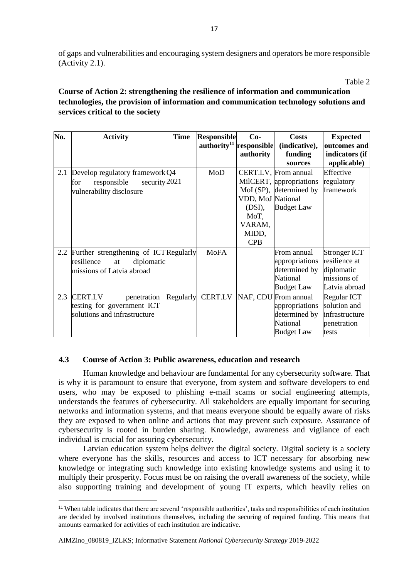of gaps and vulnerabilities and encouraging system designers and operators be more responsible (Activity 2.1).

Table 2

## **Course of Action 2: strengthening the resilience of information and communication technologies, the provision of information and communication technology solutions and services critical to the society**

| No. | <b>Activity</b>                            | <b>Time</b> | <b>Responsible</b>                  | $Co-$             | <b>Costs</b>                 | <b>Expected</b> |
|-----|--------------------------------------------|-------------|-------------------------------------|-------------------|------------------------------|-----------------|
|     |                                            |             | $\text{authority}^{11}$ responsible |                   | (indicative),                | outcomes and    |
|     |                                            |             |                                     | authority         | funding                      | indicators (if  |
|     |                                            |             |                                     |                   | sources                      | applicable)     |
| 2.1 | Develop regulatory framework Q4            |             | MoD                                 |                   | CERT.LV, From annual         | Effective       |
|     | security $2021$<br>responsible<br>for      |             |                                     |                   | MilCERT, appropriations      | regulatory      |
|     | vulnerability disclosure                   |             |                                     |                   | MoI (SP), determined by      | framework       |
|     |                                            |             |                                     | VDD, MoJ National |                              |                 |
|     |                                            |             |                                     | (DSI),            | <b>Budget Law</b>            |                 |
|     |                                            |             |                                     | MoT,              |                              |                 |
|     |                                            |             |                                     | VARAM,            |                              |                 |
|     |                                            |             |                                     | MIDD,             |                              |                 |
|     |                                            |             |                                     | <b>CPB</b>        |                              |                 |
|     | 2.2 Further strengthening of ICT Regularly |             | <b>MoFA</b>                         |                   | From annual                  | Stronger ICT    |
|     | diplomatic<br>resilience<br>at             |             |                                     |                   | appropriations               | resilience at   |
|     | missions of Latvia abroad                  |             |                                     |                   | determined by                | diplomatic      |
|     |                                            |             |                                     |                   | National                     | missions of     |
|     |                                            |             |                                     |                   | <b>Budget Law</b>            | Latvia abroad   |
| 2.3 | <b>CERT.LV</b><br>penetration              | Regularly   |                                     |                   | CERT.LV NAF, CDU From annual | Regular ICT     |
|     | testing for government ICT                 |             |                                     |                   | appropriations               | solution and    |
|     | solutions and infrastructure               |             |                                     |                   | determined by                | infrastructure  |
|     |                                            |             |                                     |                   | National                     | penetration     |
|     |                                            |             |                                     |                   | <b>Budget Law</b>            | tests           |

## <span id="page-16-0"></span>**4.3 Course of Action 3: Public awareness, education and research**

Human knowledge and behaviour are fundamental for any cybersecurity software. That is why it is paramount to ensure that everyone, from system and software developers to end users, who may be exposed to phishing e-mail scams or social engineering attempts, understands the features of cybersecurity. All stakeholders are equally important for securing networks and information systems, and that means everyone should be equally aware of risks they are exposed to when online and actions that may prevent such exposure. Assurance of cybersecurity is rooted in burden sharing. Knowledge, awareness and vigilance of each individual is crucial for assuring cybersecurity.

Latvian education system helps deliver the digital society. Digital society is a society where everyone has the skills, resources and access to ICT necessary for absorbing new knowledge or integrating such knowledge into existing knowledge systems and using it to multiply their prosperity. Focus must be on raising the overall awareness of the society, while also supporting training and development of young IT experts, which heavily relies on

<sup>11</sup> When table indicates that there are several 'responsible authorities', tasks and responsibilities of each institution are decided by involved institutions themselves, including the securing of required funding. This means that amounts earmarked for activities of each institution are indicative.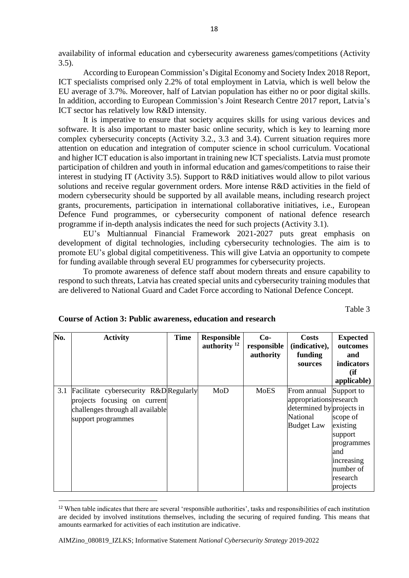availability of informal education and cybersecurity awareness games/competitions (Activity 3.5).

According to European Commission's Digital Economy and Society Index 2018 Report, ICT specialists comprised only 2.2% of total employment in Latvia, which is well below the EU average of 3.7%. Moreover, half of Latvian population has either no or poor digital skills. In addition, according to European Commission's Joint Research Centre 2017 report, Latvia's ICT sector has relatively low R&D intensity.

It is imperative to ensure that society acquires skills for using various devices and software. It is also important to master basic online security, which is key to learning more complex cybersecurity concepts (Activity 3.2., 3.3 and 3.4). Current situation requires more attention on education and integration of computer science in school curriculum. Vocational and higher ICT education is also important in training new ICT specialists. Latvia must promote participation of children and youth in informal education and games/competitions to raise their interest in studying IT (Activity 3.5). Support to R&D initiatives would allow to pilot various solutions and receive regular government orders. More intense R&D activities in the field of modern cybersecurity should be supported by all available means, including research project grants, procurements, participation in international collaborative initiatives, i.e., European Defence Fund programmes, or cybersecurity component of national defence research programme if in-depth analysis indicates the need for such projects (Activity 3.1).

EU's Multiannual Financial Framework 2021-2027 puts great emphasis on development of digital technologies, including cybersecurity technologies. The aim is to promote EU's global digital competitiveness. This will give Latvia an opportunity to compete for funding available through several EU programmes for cybersecurity projects.

To promote awareness of defence staff about modern threats and ensure capability to respond to such threats, Latvia has created special units and cybersecurity training modules that are delivered to National Guard and Cadet Force according to National Defence Concept.

Table 3

| No. | <b>Activity</b>                                                                                                                  | <b>Time</b> | <b>Responsible</b><br>authority $12$ | $Co-$<br>responsible<br>authority | <b>Costs</b><br>(indicative),<br>funding<br>sources                                                  | <b>Expected</b><br>outcomes<br>and<br>indicators<br>(ii)<br>applicable)                                               |
|-----|----------------------------------------------------------------------------------------------------------------------------------|-------------|--------------------------------------|-----------------------------------|------------------------------------------------------------------------------------------------------|-----------------------------------------------------------------------------------------------------------------------|
| 3.1 | Facilitate cybersecurity R&D Regularly<br>projects focusing on current<br>challenges through all available<br>support programmes |             | MoD                                  | <b>MoES</b>                       | From annual<br>appropriations research<br>determined by projects in<br>National<br><b>Budget Law</b> | Support to<br>scope of<br>existing<br>support<br>programmes<br>and<br>increasing<br>number of<br>research<br>projects |

**Course of Action 3: Public awareness, education and research**

<sup>&</sup>lt;sup>12</sup> When table indicates that there are several 'responsible authorities', tasks and responsibilities of each institution are decided by involved institutions themselves, including the securing of required funding. This means that amounts earmarked for activities of each institution are indicative.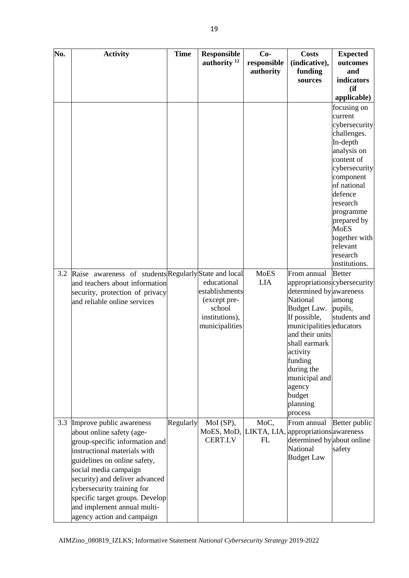| No. | <b>Activity</b>                                           | <b>Time</b> | <b>Responsible</b>       | $Co-$       | <b>Costs</b>                | <b>Expected</b>            |
|-----|-----------------------------------------------------------|-------------|--------------------------|-------------|-----------------------------|----------------------------|
|     |                                                           |             | authority $12$           | responsible | (indicative),               | outcomes                   |
|     |                                                           |             |                          | authority   | funding<br>sources          | and<br>indicators          |
|     |                                                           |             |                          |             |                             | (ii)                       |
|     |                                                           |             |                          |             |                             | applicable)                |
|     |                                                           |             |                          |             |                             | focusing on                |
|     |                                                           |             |                          |             |                             | current                    |
|     |                                                           |             |                          |             |                             | cybersecurity              |
|     |                                                           |             |                          |             |                             | challenges.                |
|     |                                                           |             |                          |             |                             | In-depth                   |
|     |                                                           |             |                          |             |                             | analysis on                |
|     |                                                           |             |                          |             |                             | content of                 |
|     |                                                           |             |                          |             |                             | cybersecurity<br>component |
|     |                                                           |             |                          |             |                             | of national                |
|     |                                                           |             |                          |             |                             | defence                    |
|     |                                                           |             |                          |             |                             | research                   |
|     |                                                           |             |                          |             |                             | programme                  |
|     |                                                           |             |                          |             |                             | prepared by                |
|     |                                                           |             |                          |             |                             | <b>MoES</b>                |
|     |                                                           |             |                          |             |                             | together with<br>relevant  |
|     |                                                           |             |                          |             |                             | research                   |
|     |                                                           |             |                          |             |                             | institutions.              |
|     | 3.2 Raise awareness of students Regularly State and local |             |                          | <b>MoES</b> | From annual                 | <b>Better</b>              |
|     | and teachers about information                            |             | educational              | <b>LIA</b>  | appropriationscybersecurity |                            |
|     | security, protection of privacy                           |             | establishments           |             | determined by awareness     |                            |
|     | and reliable online services                              |             | (except pre-             |             | National                    | among                      |
|     |                                                           |             | school<br>institutions), |             | Budget Law.<br>If possible, | pupils,<br>students and    |
|     |                                                           |             | municipalities           |             | municipalities educators    |                            |
|     |                                                           |             |                          |             | and their units             |                            |
|     |                                                           |             |                          |             | shall earmark               |                            |
|     |                                                           |             |                          |             | activity                    |                            |
|     |                                                           |             |                          |             | funding                     |                            |
|     |                                                           |             |                          |             | during the                  |                            |
|     |                                                           |             |                          |             | municipal and<br>agency     |                            |
|     |                                                           |             |                          |             | budget                      |                            |
|     |                                                           |             |                          |             | planning                    |                            |
|     |                                                           |             |                          |             | process                     |                            |
| 3.3 | Improve public awareness                                  | Regularly   | MoI (SP),                | MoC,        | From annual                 | Better public              |
|     | about online safety (age-                                 |             | MoES, MoD, LIKTA, LIA,   |             | appropriations awareness    |                            |
|     | group-specific information and                            |             | <b>CERT.LV</b>           | FL          | determined by about online  |                            |
|     | instructional materials with                              |             |                          |             | National                    | safety                     |
|     | guidelines on online safety,                              |             |                          |             | <b>Budget Law</b>           |                            |
|     | social media campaign                                     |             |                          |             |                             |                            |
|     | security) and deliver advanced                            |             |                          |             |                             |                            |
|     | cybersecurity training for                                |             |                          |             |                             |                            |
|     | specific target groups. Develop                           |             |                          |             |                             |                            |
|     | and implement annual multi-                               |             |                          |             |                             |                            |
|     | agency action and campaign                                |             |                          |             |                             |                            |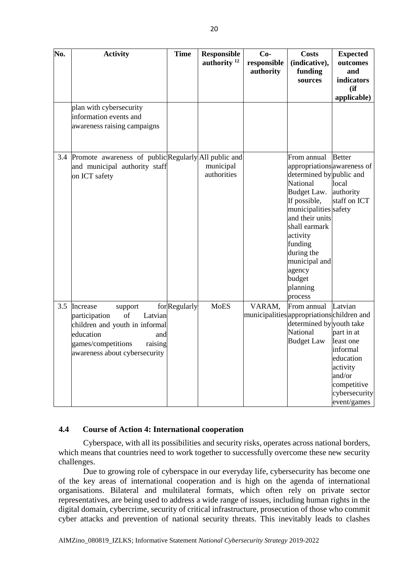| No. | <b>Activity</b>                                                                                                                                                               | <b>Time</b>   | <b>Responsible</b><br>authority <sup>12</sup> | $Co-$<br>responsible | <b>Costs</b><br>(indicative),                                                                                                                                                                                                                                                   | <b>Expected</b><br>outcomes                                                                                                      |
|-----|-------------------------------------------------------------------------------------------------------------------------------------------------------------------------------|---------------|-----------------------------------------------|----------------------|---------------------------------------------------------------------------------------------------------------------------------------------------------------------------------------------------------------------------------------------------------------------------------|----------------------------------------------------------------------------------------------------------------------------------|
|     |                                                                                                                                                                               |               |                                               | authority            | funding                                                                                                                                                                                                                                                                         | and                                                                                                                              |
|     |                                                                                                                                                                               |               |                                               |                      | sources                                                                                                                                                                                                                                                                         | indicators<br>(ii)                                                                                                               |
|     |                                                                                                                                                                               |               |                                               |                      |                                                                                                                                                                                                                                                                                 | applicable)                                                                                                                      |
|     | plan with cybersecurity<br>information events and<br>awareness raising campaigns                                                                                              |               |                                               |                      |                                                                                                                                                                                                                                                                                 |                                                                                                                                  |
|     | 3.4 Promote awareness of public Regularly All public and<br>and municipal authority staff<br>on ICT safety                                                                    |               | municipal<br>authorities                      |                      | From annual<br>appropriations awareness of<br>determined by public and<br>National<br>Budget Law.<br>If possible,<br>municipalities safety<br>and their units<br>shall earmark<br>activity<br>funding<br>during the<br>municipal and<br>agency<br>budget<br>planning<br>process | <b>Better</b><br>local<br>authority<br>staff on ICT                                                                              |
| 3.5 | Increase<br>support<br>of<br>participation<br>Latvian<br>children and youth in informal<br>education<br>and<br>games/competitions<br>raising<br>awareness about cybersecurity | for Regularly | <b>MoES</b>                                   | VARAM,               | From annual<br>municipalities appropriations children and<br>determined by youth take<br><b>National</b><br><b>Budget Law</b>                                                                                                                                                   | Latvian<br>part in at<br>least one<br>informal<br>education<br>activity<br>and/or<br>competitive<br>cybersecurity<br>event/games |

#### <span id="page-19-0"></span>**4.4 Course of Action 4: International cooperation**

Cyberspace, with all its possibilities and security risks, operates across national borders, which means that countries need to work together to successfully overcome these new security challenges.

Due to growing role of cyberspace in our everyday life, cybersecurity has become one of the key areas of international cooperation and is high on the agenda of international organisations. Bilateral and multilateral formats, which often rely on private sector representatives, are being used to address a wide range of issues, including human rights in the digital domain, cybercrime, security of critical infrastructure, prosecution of those who commit cyber attacks and prevention of national security threats. This inevitably leads to clashes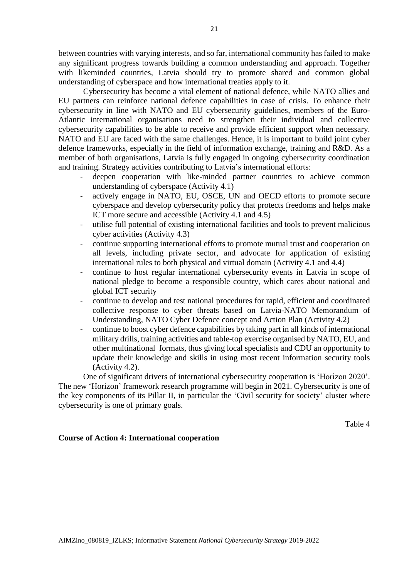between countries with varying interests, and so far, international community has failed to make any significant progress towards building a common understanding and approach. Together with likeminded countries, Latvia should try to promote shared and common global understanding of cyberspace and how international treaties apply to it.

Cybersecurity has become a vital element of national defence, while NATO allies and EU partners can reinforce national defence capabilities in case of crisis. To enhance their cybersecurity in line with NATO and EU cybersecurity guidelines, members of the Euro-Atlantic international organisations need to strengthen their individual and collective cybersecurity capabilities to be able to receive and provide efficient support when necessary. NATO and EU are faced with the same challenges. Hence, it is important to build joint cyber defence frameworks, especially in the field of information exchange, training and R&D. As a member of both organisations, Latvia is fully engaged in ongoing cybersecurity coordination and training. Strategy activities contributing to Latvia's international efforts:

- deepen cooperation with like-minded partner countries to achieve common understanding of cyberspace (Activity 4.1)
- actively engage in NATO, EU, OSCE, UN and OECD efforts to promote secure cyberspace and develop cybersecurity policy that protects freedoms and helps make ICT more secure and accessible (Activity 4.1 and 4.5)
- utilise full potential of existing international facilities and tools to prevent malicious cyber activities (Activity 4.3)
- continue supporting international efforts to promote mutual trust and cooperation on all levels, including private sector, and advocate for application of existing international rules to both physical and virtual domain (Activity 4.1 and 4.4)
- continue to host regular international cybersecurity events in Latvia in scope of national pledge to become a responsible country, which cares about national and global ICT security
- continue to develop and test national procedures for rapid, efficient and coordinated collective response to cyber threats based on Latvia-NATO Memorandum of Understanding, NATO Cyber Defence concept and Action Plan (Activity 4.2)
- continue to boost cyber defence capabilities by taking part in all kinds of international military drills, training activities and table-top exercise organised by NATO, EU, and other multinational formats, thus giving local specialists and CDU an opportunity to update their knowledge and skills in using most recent information security tools (Activity 4.2).

One of significant drivers of international cybersecurity cooperation is 'Horizon 2020'. The new 'Horizon' framework research programme will begin in 2021. Cybersecurity is one of the key components of its Pillar II, in particular the 'Civil security for society' cluster where cybersecurity is one of primary goals.

Table 4

## <span id="page-20-0"></span>**Course of Action 4: International cooperation**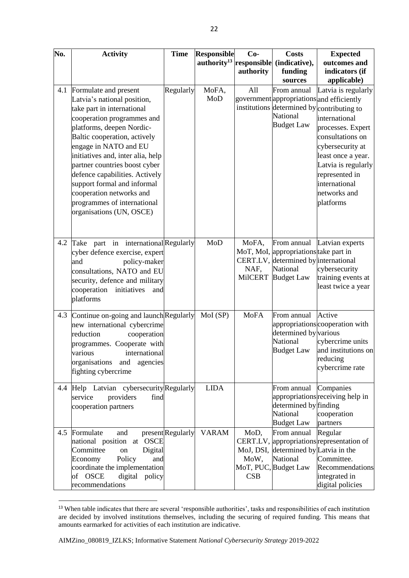| No. | <b>Activity</b>                                                                                                                                                                                                                                                                                                                                                                                                                      | <b>Time</b>       | <b>Responsible</b><br>authority $13$ | $Co-$<br>responsible            | <b>Costs</b><br>(indicative),                                                                                                 | <b>Expected</b><br>outcomes and                                                                                                                                                                                                                                                                                          |
|-----|--------------------------------------------------------------------------------------------------------------------------------------------------------------------------------------------------------------------------------------------------------------------------------------------------------------------------------------------------------------------------------------------------------------------------------------|-------------------|--------------------------------------|---------------------------------|-------------------------------------------------------------------------------------------------------------------------------|--------------------------------------------------------------------------------------------------------------------------------------------------------------------------------------------------------------------------------------------------------------------------------------------------------------------------|
|     |                                                                                                                                                                                                                                                                                                                                                                                                                                      |                   |                                      | authority                       | funding                                                                                                                       | indicators (if                                                                                                                                                                                                                                                                                                           |
| 4.1 | Formulate and present<br>Latvia's national position,<br>take part in international<br>cooperation programmes and<br>platforms, deepen Nordic-<br>Baltic cooperation, actively<br>engage in NATO and EU<br>initiatives and, inter alia, help<br>partner countries boost cyber<br>defence capabilities. Actively<br>support formal and informal<br>cooperation networks and<br>programmes of international<br>organisations (UN, OSCE) | Regularly         | MoFA,<br>MoD                         | All                             | sources<br>From annual<br><b>National</b><br><b>Budget Law</b>                                                                | applicable)<br>Latvia is regularly<br>government appropriations and efficiently<br>institutions determined by contributing to<br>international<br>processes. Expert<br>consultations on<br>cybersecurity at<br>least once a year.<br>Latvia is regularly<br>represented in<br>international<br>networks and<br>platforms |
| 4.2 | Take part in international Regularly<br>cyber defence exercise, expert<br>policy-maker<br>and<br>consultations, NATO and EU<br>security, defence and military<br>cooperation<br>initiatives<br>and<br>platforms                                                                                                                                                                                                                      |                   | MoD                                  | MoFA,<br>NAF,<br><b>MilCERT</b> | From annual<br>MoT, MoI, appropriations take part in<br>CERT.LV, determined by international<br>National<br><b>Budget Law</b> | Latvian experts<br>cybersecurity<br>training events at<br>least twice a year                                                                                                                                                                                                                                             |
| 4.3 | Continue on-going and launch Regularly<br>new international cybercrime<br>reduction<br>cooperation<br>programmes. Cooperate with<br>various<br>international<br>organisations and<br>agencies<br>fighting cybercrime                                                                                                                                                                                                                 |                   | $Mol$ (SP)                           | <b>MoFA</b>                     | From annual<br>determined by various<br>National<br><b>Budget Law</b>                                                         | Active<br>appropriations cooperation with<br>cybercrime units<br>and institutions on<br>reducing<br>cybercrime rate                                                                                                                                                                                                      |
| 4.4 | Help Latvian cybersecurity Regularly<br>providers<br>find<br>service<br>cooperation partners                                                                                                                                                                                                                                                                                                                                         |                   | <b>LIDA</b>                          |                                 | From annual<br>determined by finding<br>National<br><b>Budget Law</b>                                                         | Companies<br>appropriations receiving help in<br>cooperation<br>partners                                                                                                                                                                                                                                                 |
|     | 4.5 Formulate<br>and<br>national position at OSCE<br>Committee<br>Digital<br>on<br>Economy<br>Policy<br>and<br>coordinate the implementation<br>of OSCE<br>digital policy<br>recommendations                                                                                                                                                                                                                                         | present Regularly | <b>VARAM</b>                         | MoD,<br>MoW,<br>CSB             | From annual<br>MoJ, DSI, determined by Latvia in the<br>National<br>MoT, PUC, Budget Law                                      | Regular<br>CERT.LV, appropriations representation of<br>Committee.<br>Recommendations<br>integrated in<br>digital policies                                                                                                                                                                                               |

<sup>&</sup>lt;sup>13</sup> When table indicates that there are several 'responsible authorities', tasks and responsibilities of each institution are decided by involved institutions themselves, including the securing of required funding. This means that amounts earmarked for activities of each institution are indicative.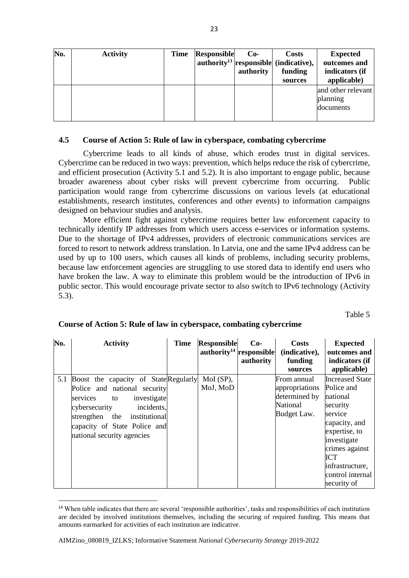| No. | <b>Activity</b> | <b>Time</b> | <b>Responsible</b> | $Co-$<br>authority | <b>Costs</b><br>authority <sup>13</sup> responsible (indicative),<br>funding<br>sources | <b>Expected</b><br>outcomes and<br>indicators (if<br>applicable) |
|-----|-----------------|-------------|--------------------|--------------------|-----------------------------------------------------------------------------------------|------------------------------------------------------------------|
|     |                 |             |                    |                    |                                                                                         | and other relevant<br>planning<br>documents                      |

#### <span id="page-22-0"></span>**4.5 Course of Action 5: Rule of law in cyberspace, combating cybercrime**

Cybercrime leads to all kinds of abuse, which erodes trust in digital services. Cybercrime can be reduced in two ways: prevention, which helps reduce the risk of cybercrime, and efficient prosecution (Activity 5.1 and 5.2). It is also important to engage public, because broader awareness about cyber risks will prevent cybercrime from occurring. Public participation would range from cybercrime discussions on various levels (at educational establishments, research institutes, conferences and other events) to information campaigns designed on behaviour studies and analysis.

More efficient fight against cybercrime requires better law enforcement capacity to technically identify IP addresses from which users access e-services or information systems. Due to the shortage of IPv4 addresses, providers of electronic communications services are forced to resort to network address translation. In Latvia, one and the same IPv4 address can be used by up to 100 users, which causes all kinds of problems, including security problems, because law enforcement agencies are struggling to use stored data to identify end users who have broken the law. A way to eliminate this problem would be the introduction of IPv6 in public sector. This would encourage private sector to also switch to IPv6 technology (Activity 5.3).

Table 5

| No. | <b>Activity</b>                                                                                                                                                                                                                        | <b>Time</b> | Responsible<br>$\mathbf{a}$ uthority <sup>14</sup> responsible | $Co-$<br>authority | <b>Costs</b><br>(indicative),<br>funding<br>sources                       | <b>Expected</b><br>outcomes and<br>indicators (if<br>applicable)                                                                                                                                        |
|-----|----------------------------------------------------------------------------------------------------------------------------------------------------------------------------------------------------------------------------------------|-------------|----------------------------------------------------------------|--------------------|---------------------------------------------------------------------------|---------------------------------------------------------------------------------------------------------------------------------------------------------------------------------------------------------|
| 5.1 | Boost the capacity of State Regularly<br>Police and national security<br>services<br>investigate<br>to<br>incidents,<br>cybersecurity<br>strengthen the<br>institutional<br>capacity of State Police and<br>national security agencies |             | $Mol$ (SP),<br>MoJ, MoD                                        |                    | From annual<br>appropriations<br>determined by<br>National<br>Budget Law. | <b>Increased State</b><br>Police and<br>national<br>security<br>service<br>capacity, and<br>expertise, to<br>investigate<br>crimes against<br>ICT<br>infrastructure,<br>control internal<br>security of |

#### **Course of Action 5: Rule of law in cyberspace, combating cybercrime**

<sup>14</sup> When table indicates that there are several 'responsible authorities', tasks and responsibilities of each institution are decided by involved institutions themselves, including the securing of required funding. This means that amounts earmarked for activities of each institution are indicative.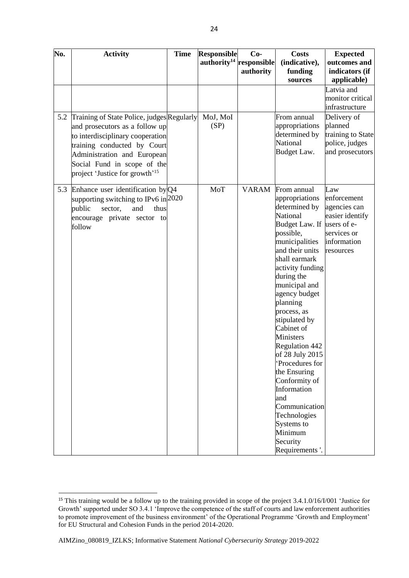| No. | <b>Activity</b>                            | <b>Time</b> | <b>Responsible</b>                     | $Co-$        | <b>Costs</b>                | <b>Expected</b>                     |
|-----|--------------------------------------------|-------------|----------------------------------------|--------------|-----------------------------|-------------------------------------|
|     |                                            |             | $a$ uthority <sup>14</sup> responsible |              | (indicative),               | outcomes and                        |
|     |                                            |             |                                        | authority    | funding                     | indicators (if                      |
|     |                                            |             |                                        |              | sources                     | applicable)                         |
|     |                                            |             |                                        |              |                             | Latvia and                          |
|     |                                            |             |                                        |              |                             | monitor critical                    |
|     |                                            |             |                                        |              |                             | infrastructure                      |
| 5.2 | Training of State Police, judges Regularly |             | MoJ, MoI                               |              | From annual                 | Delivery of                         |
|     | and prosecutors as a follow up             |             | (SP)                                   |              | appropriations              | planned                             |
|     | to interdisciplinary cooperation           |             |                                        |              | determined by<br>National   | training to State<br>police, judges |
|     | training conducted by Court                |             |                                        |              | Budget Law.                 | and prosecutors                     |
|     | Administration and European                |             |                                        |              |                             |                                     |
|     | Social Fund in scope of the                |             |                                        |              |                             |                                     |
|     | project 'Justice for growth' <sup>15</sup> |             |                                        |              |                             |                                     |
| 5.3 | Enhance user identification $by Q4$        |             | MoT                                    | <b>VARAM</b> | From annual                 | Law                                 |
|     | supporting switching to IPv6 in 2020       |             |                                        |              | appropriations              | enforcement                         |
|     | public<br>sector,<br>and<br>thus           |             |                                        |              | determined by               | agencies can                        |
|     | encourage private sector to                |             |                                        |              | National                    | easier identify                     |
|     | follow                                     |             |                                        |              | Budget Law. If              | users of e-                         |
|     |                                            |             |                                        |              | possible,<br>municipalities | services or<br>information          |
|     |                                            |             |                                        |              | and their units             | resources                           |
|     |                                            |             |                                        |              | shall earmark               |                                     |
|     |                                            |             |                                        |              | activity funding            |                                     |
|     |                                            |             |                                        |              | during the                  |                                     |
|     |                                            |             |                                        |              | municipal and               |                                     |
|     |                                            |             |                                        |              | agency budget               |                                     |
|     |                                            |             |                                        |              | planning                    |                                     |
|     |                                            |             |                                        |              | process, as                 |                                     |
|     |                                            |             |                                        |              | stipulated by               |                                     |
|     |                                            |             |                                        |              | Cabinet of<br>Ministers     |                                     |
|     |                                            |             |                                        |              | Regulation 442              |                                     |
|     |                                            |             |                                        |              | of 28 July 2015             |                                     |
|     |                                            |             |                                        |              | 'Procedures for             |                                     |
|     |                                            |             |                                        |              | the Ensuring                |                                     |
|     |                                            |             |                                        |              | Conformity of               |                                     |
|     |                                            |             |                                        |              | Information                 |                                     |
|     |                                            |             |                                        |              | and                         |                                     |
|     |                                            |             |                                        |              | Communication               |                                     |
|     |                                            |             |                                        |              | Technologies                |                                     |
|     |                                            |             |                                        |              | Systems to<br>Minimum       |                                     |
|     |                                            |             |                                        |              | Security                    |                                     |
|     |                                            |             |                                        |              | Requirements'.              |                                     |

 $\overline{a}$ 

<sup>&</sup>lt;sup>15</sup> This training would be a follow up to the training provided in scope of the project 3.4.1.0/16/I/001 'Justice for Growth' supported under SO 3.4.1 'Improve the competence of the staff of courts and law enforcement authorities to promote improvement of the business environment' of the Operational Programme 'Growth and Employment' for EU Structural and Cohesion Funds in the period 2014-2020.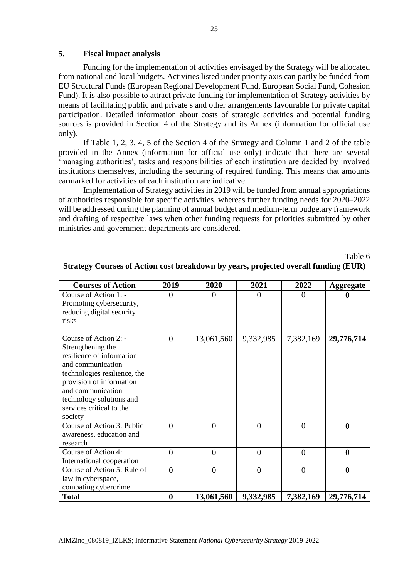#### <span id="page-24-0"></span>**5. Fiscal impact analysis**

Funding for the implementation of activities envisaged by the Strategy will be allocated from national and local budgets. Activities listed under priority axis can partly be funded from EU Structural Funds (European Regional Development Fund, European Social Fund, Cohesion Fund). It is also possible to attract private funding for implementation of Strategy activities by means of facilitating public and private s and other arrangements favourable for private capital participation. Detailed information about costs of strategic activities and potential funding sources is provided in Section 4 of the Strategy and its Annex (information for official use only).

If Table 1, 2, 3, 4, 5 of the Section 4 of the Strategy and Column 1 and 2 of the table provided in the Annex (information for official use only) indicate that there are several 'managing authorities', tasks and responsibilities of each institution are decided by involved institutions themselves, including the securing of required funding. This means that amounts earmarked for activities of each institution are indicative.

Implementation of Strategy activities in 2019 will be funded from annual appropriations of authorities responsible for specific activities, whereas further funding needs for 2020–2022 will be addressed during the planning of annual budget and medium-term budgetary framework and drafting of respective laws when other funding requests for priorities submitted by other ministries and government departments are considered.

Table 6

| <b>Courses of Action</b>                                                                                                                                                                                                                         | 2019             | 2020       | 2021           | 2022      | <b>Aggregate</b> |
|--------------------------------------------------------------------------------------------------------------------------------------------------------------------------------------------------------------------------------------------------|------------------|------------|----------------|-----------|------------------|
| Course of Action 1: -<br>Promoting cybersecurity,<br>reducing digital security<br>risks                                                                                                                                                          | 0                |            | 0              | ∩         |                  |
| Course of Action 2: -<br>Strengthening the<br>resilience of information<br>and communication<br>technologies resilience, the<br>provision of information<br>and communication<br>technology solutions and<br>services critical to the<br>society | $\Omega$         | 13,061,560 | 9,332,985      | 7,382,169 | 29,776,714       |
| Course of Action 3: Public<br>awareness, education and<br>research                                                                                                                                                                               | $\theta$         | $\theta$   | $\overline{0}$ | $\theta$  | $\boldsymbol{0}$ |
| Course of Action 4:<br>International cooperation                                                                                                                                                                                                 | $\theta$         | $\theta$   | $\overline{0}$ | $\theta$  | $\boldsymbol{0}$ |
| Course of Action 5: Rule of<br>law in cyberspace,<br>combating cybercrime                                                                                                                                                                        | $\theta$         | $\theta$   | $\overline{0}$ | $\theta$  | $\boldsymbol{0}$ |
| <b>Total</b>                                                                                                                                                                                                                                     | $\boldsymbol{0}$ | 13,061,560 | 9,332,985      | 7,382,169 | 29,776,714       |

## **Strategy Courses of Action cost breakdown by years, projected overall funding (EUR)**